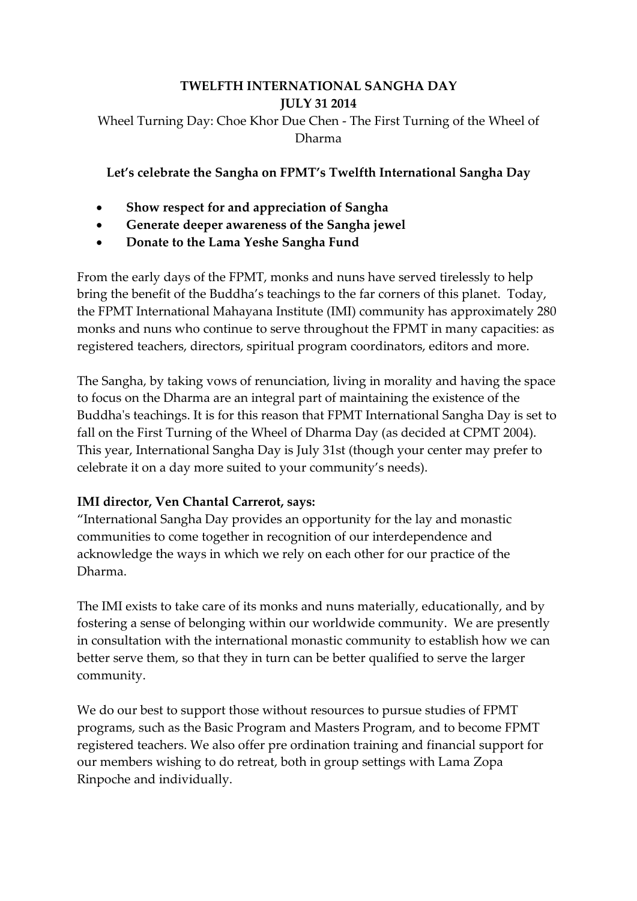## **TWELFTH INTERNATIONAL SANGHA DAY JULY 31 2014** Wheel Turning Day: Choe Khor Due Chen - The First Turning of the Wheel of Dharma

**Let's celebrate the Sangha on FPMT's Twelfth International Sangha Day**

- **Show respect for and appreciation of Sangha**
- **Generate deeper awareness of the Sangha jewel**
- **Donate to the Lama Yeshe Sangha Fund**

From the early days of the FPMT, monks and nuns have served tirelessly to help bring the benefit of the Buddha's teachings to the far corners of this planet. Today, the FPMT International Mahayana Institute (IMI) community has approximately 280 monks and nuns who continue to serve throughout the FPMT in many capacities: as registered teachers, directors, spiritual program coordinators, editors and more.

The Sangha, by taking vows of renunciation, living in morality and having the space to focus on the Dharma are an integral part of maintaining the existence of the Buddha's teachings. It is for this reason that FPMT International Sangha Day is set to fall on the First Turning of the Wheel of Dharma Day (as decided at CPMT 2004). This year, International Sangha Day is July 31st (though your center may prefer to celebrate it on a day more suited to your community's needs).

## **IMI director, Ven Chantal Carrerot, says:**

"International Sangha Day provides an opportunity for the lay and monastic communities to come together in recognition of our interdependence and acknowledge the ways in which we rely on each other for our practice of the Dharma.

The IMI exists to take care of its monks and nuns materially, educationally, and by fostering a sense of belonging within our worldwide community. We are presently in consultation with the international monastic community to establish how we can better serve them, so that they in turn can be better qualified to serve the larger community.

We do our best to support those without resources to pursue studies of FPMT programs, such as the Basic Program and Masters Program, and to become FPMT registered teachers. We also offer pre ordination training and financial support for our members wishing to do retreat, both in group settings with Lama Zopa Rinpoche and individually.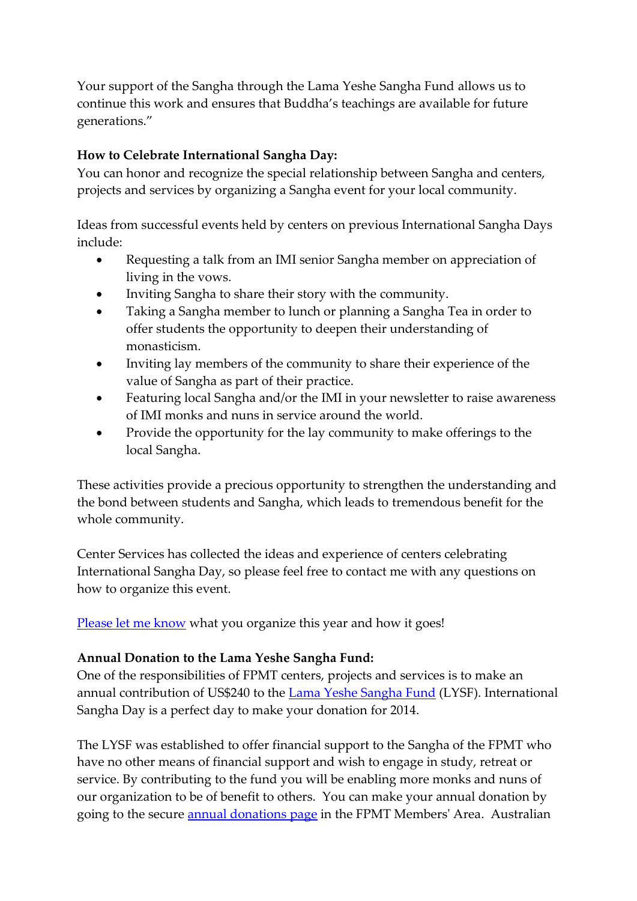Your support of the Sangha through the Lama Yeshe Sangha Fund allows us to continue this work and ensures that Buddha's teachings are available for future generations."

## **How to Celebrate International Sangha Day:**

You can honor and recognize the special relationship between Sangha and centers, projects and services by organizing a Sangha event for your local community.

Ideas from successful events held by centers on previous International Sangha Days include:

- Requesting a talk from an IMI senior Sangha member on appreciation of living in the vows.
- Inviting Sangha to share their story with the community.
- Taking a Sangha member to lunch or planning a Sangha Tea in order to offer students the opportunity to deepen their understanding of monasticism.
- Inviting lay members of the community to share their experience of the value of Sangha as part of their practice.
- Featuring local Sangha and/or the IMI in your newsletter to raise awareness of IMI monks and nuns in service around the world.
- Provide the opportunity for the lay community to make offerings to the local Sangha.

These activities provide a precious opportunity to strengthen the understanding and the bond between students and Sangha, which leads to tremendous benefit for the whole community.

Center Services has collected the ideas and experience of centers celebrating International Sangha Day, so please feel free to contact me with any questions on how to organize this event.

[Please let me know](mailto:centerservices@fpmt.org) what you organize this year and how it goes!

## **Annual Donation to the Lama Yeshe Sangha Fund:**

One of the responsibilities of FPMT centers, projects and services is to make an annual contribution of US\$240 to the [Lama Yeshe Sangha Fund](http://fpmt.org/projects/other/lysf/) (LYSF). International Sangha Day is a perfect day to make your donation for 2014.

The LYSF was established to offer financial support to the Sangha of the FPMT who have no other means of financial support and wish to engage in study, retreat or service. By contributing to the fund you will be enabling more monks and nuns of our organization to be of benefit to others. You can make your annual donation by going to the secure [annual donations page](https://my.fpmt.org/donate/annualdonations) in the FPMT Members' Area. Australian